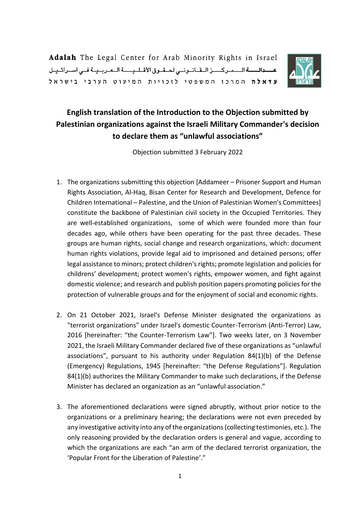Adalah The Legal Center for Arab Minority Rights in Israel عسدالسة السمركيز القانوني لحقوق الأقليسة العربية في اسرائيل עדאלה המרכו המשפטי לוכויות המיעוט הערבי בישראל



## **English translation of the Introduction to the Objection submitted by Palestinian organizations against the Israeli Military Commander's decision to declare them as "unlawful associations"**

Objection submitted 3 February 2022

- 1. The organizations submitting this objection [Addameer Prisoner Support and Human Rights Association, Al-Haq, Bisan Center for Research and Development, Defence for Children International – Palestine, and the Union of Palestinian Women's Committees] constitute the backbone of Palestinian civil society in the Occupied Territories. They are well-established organizations, some of which were founded more than four decades ago, while others have been operating for the past three decades. These groups are human rights, social change and research organizations, which: document human rights violations, provide legal aid to imprisoned and detained persons; offer legal assistance to minors; protect children's rights; promote legislation and policies for childrens' development; protect women's rights, empower women, and fight against domestic violence; and research and publish position papers promoting policies for the protection of vulnerable groups and for the enjoyment of social and economic rights.
- 2. On 21 October 2021, Israel's Defense Minister designated the organizations as "terrorist organizations" under Israel's domestic Counter-Terrorism (Anti-Terror) Law, 2016 [hereinafter: "the Counter-Terrorism Law"]. Two weeks later, on 3 November 2021, the Israeli Military Commander declared five of these organizations as "unlawful associations", pursuant to his authority under Regulation 84(1)(b) of the Defense (Emergency) Regulations, 1945 [hereinafter: "the Defense Regulations"]. Regulation 84(1)(b) authorizes the Military Commander to make such declarations, if the Defense Minister has declared an organization as an "unlawful association."
- 3. The aforementioned declarations were signed abruptly, without prior notice to the organizations or a preliminary hearing; the declarations were not even preceded by any investigative activity into any of the organizations(collecting testimonies, etc.). The only reasoning provided by the declaration orders is general and vague, according to which the organizations are each "an arm of the declared terrorist organization, the 'Popular Front for the Liberation of Palestine'."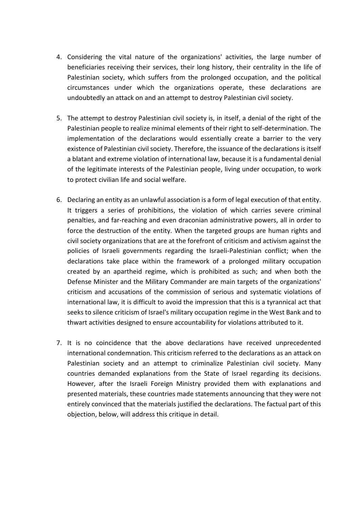- 4. Considering the vital nature of the organizations' activities, the large number of beneficiaries receiving their services, their long history, their centrality in the life of Palestinian society, which suffers from the prolonged occupation, and the political circumstances under which the organizations operate, these declarations are undoubtedly an attack on and an attempt to destroy Palestinian civil society.
- 5. The attempt to destroy Palestinian civil society is, in itself, a denial of the right of the Palestinian people to realize minimal elements of their right to self-determination. The implementation of the declarations would essentially create a barrier to the very existence of Palestinian civil society. Therefore, the issuance of the declarations is itself a blatant and extreme violation of international law, because it is a fundamental denial of the legitimate interests of the Palestinian people, living under occupation, to work to protect civilian life and social welfare.
- 6. Declaring an entity as an unlawful association is a form of legal execution of that entity. It triggers a series of prohibitions, the violation of which carries severe criminal penalties, and far-reaching and even draconian administrative powers, all in order to force the destruction of the entity. When the targeted groups are human rights and civil society organizations that are at the forefront of criticism and activism against the policies of Israeli governments regarding the Israeli-Palestinian conflict; when the declarations take place within the framework of a prolonged military occupation created by an apartheid regime, which is prohibited as such; and when both the Defense Minister and the Military Commander are main targets of the organizations' criticism and accusations of the commission of serious and systematic violations of international law, it is difficult to avoid the impression that this is a tyrannical act that seeks to silence criticism of Israel's military occupation regime in the West Bank and to thwart activities designed to ensure accountability for violations attributed to it.
- 7. It is no coincidence that the above declarations have received unprecedented international condemnation. This criticism referred to the declarations as an attack on Palestinian society and an attempt to criminalize Palestinian civil society. Many countries demanded explanations from the State of Israel regarding its decisions. However, after the Israeli Foreign Ministry provided them with explanations and presented materials, these countries made statements announcing that they were not entirely convinced that the materials justified the declarations. The factual part of this objection, below, will address this critique in detail.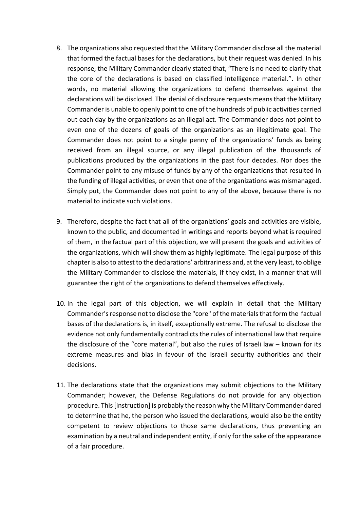- 8. The organizations also requested that the Military Commander disclose all the material that formed the factual bases for the declarations, but their request was denied. In his response, the Military Commander clearly stated that, "There is no need to clarify that the core of the declarations is based on classified intelligence material.". In other words, no material allowing the organizations to defend themselves against the declarations will be disclosed. The denial of disclosure requests means that the Military Commander is unable to openly point to one of the hundreds of public activities carried out each day by the organizations as an illegal act. The Commander does not point to even one of the dozens of goals of the organizations as an illegitimate goal. The Commander does not point to a single penny of the organizations' funds as being received from an illegal source, or any illegal publication of the thousands of publications produced by the organizations in the past four decades. Nor does the Commander point to any misuse of funds by any of the organizations that resulted in the funding of illegal activities, or even that one of the organizations was mismanaged. Simply put, the Commander does not point to any of the above, because there is no material to indicate such violations.
- 9. Therefore, despite the fact that all of the organiztions' goals and activities are visible, known to the public, and documented in writings and reports beyond what is required of them, in the factual part of this objection, we will present the goals and activities of the organizations, which will show them as highly legitimate. The legal purpose of this chapter is also to attest to the declarations' arbitrariness and, at the very least, to oblige the Military Commander to disclose the materials, if they exist, in a manner that will guarantee the right of the organizations to defend themselves effectively.
- 10. In the legal part of this objection, we will explain in detail that the Military Commander's response not to disclose the "core" of the materials that form the factual bases of the declarations is, in itself, exceptionally extreme. The refusal to disclose the evidence not only fundamentally contradicts the rules of international law that require the disclosure of the "core material", but also the rules of Israeli law – known for its extreme measures and bias in favour of the Israeli security authorities and their decisions.
- 11. The declarations state that the organizations may submit objections to the Military Commander; however, the Defense Regulations do not provide for any objection procedure. This [instruction] is probably the reason why the Military Commander dared to determine that he, the person who issued the declarations, would also be the entity competent to review objections to those same declarations, thus preventing an examination by a neutral and independent entity, if only for the sake of the appearance of a fair procedure.